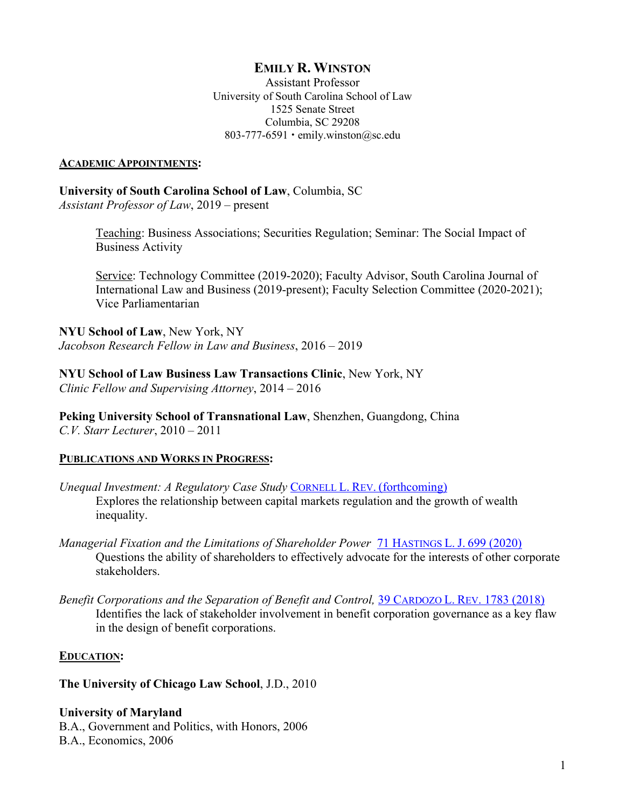# **EMILY R. WINSTON**

 University of South Carolina School of Law 803-777-6591 • [emily.winston@sc.edu](mailto:emily.winston@sc.edu) Assistant Professor 1525 Senate Street Columbia, SC 29208

#### **ACADEMIC APPOINTMENTS:**

 *Assistant Professor of Law*, 2019 – present **University of South Carolina School of Law**, Columbia, SC

> Teaching: Business Associations; Securities Regulation; Seminar: The Social Impact of Business Activity

 International Law and Business (2019-present); Faculty Selection Committee (2020-2021); Service: Technology Committee (2019-2020); Faculty Advisor, South Carolina Journal of Vice Parliamentarian

 *Jacobson Research Fellow in Law and Business*, 2016 – 2019 **NYU School of Law**, New York, NY

 *Clinic Fellow and Supervising Attorney*, 2014 – 2016 **NYU School of Law Business Law Transactions Clinic**, New York, NY

 *C.V. Starr Lecturer*, 2010 – 2011 **Peking University School of Transnational Law**, Shenzhen, Guangdong, China

#### **PUBLICATIONS AND WORKS IN PROGRESS:**

- *Unequal Investment: A Regulatory Case Study CORNELL L. REV. (forthcoming)* Explores the relationship between capital markets regulation and the growth of wealth inequality.
- *Managerial Fixation and the Limitations of Shareholder Power* 71 HASTINGS L. J. 699 (2020) Questions the ability of shareholders to effectively advocate for the interests of other corporate stakeholders.
- Benefit Corporations and the Separation of Benefit and Control, 39 CARDOZO L. REV. 1783 (2018) Identifies the lack of stakeholder involvement in benefit corporation governance as a key flaw in the design of benefit corporations.

#### **EDUCATION:**

**The University of Chicago Law School**, J.D., 2010

**University of Maryland**  B.A., Government and Politics, with Honors, 2006 B.A., Economics, 2006